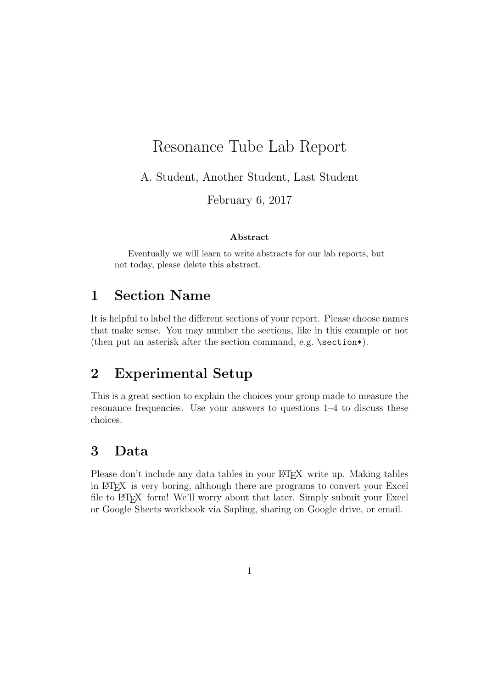# Resonance Tube Lab Report

A. Student, Another Student, Last Student

February 6, 2017

#### Abstract

Eventually we will learn to write abstracts for our lab reports, but not today, please delete this abstract.

### 1 Section Name

It is helpful to label the different sections of your report. Please choose names that make sense. You may number the sections, like in this example or not (then put an asterisk after the section command, e.g. \section\*).

# 2 Experimental Setup

This is a great section to explain the choices your group made to measure the resonance frequencies. Use your answers to questions 1–4 to discuss these choices.

## 3 Data

Please don't include any data tables in your LATEX write up. Making tables in LATEX is very boring, although there are programs to convert your Excel file to LATEX form! We'll worry about that later. Simply submit your Excel or Google Sheets workbook via Sapling, sharing on Google drive, or email.